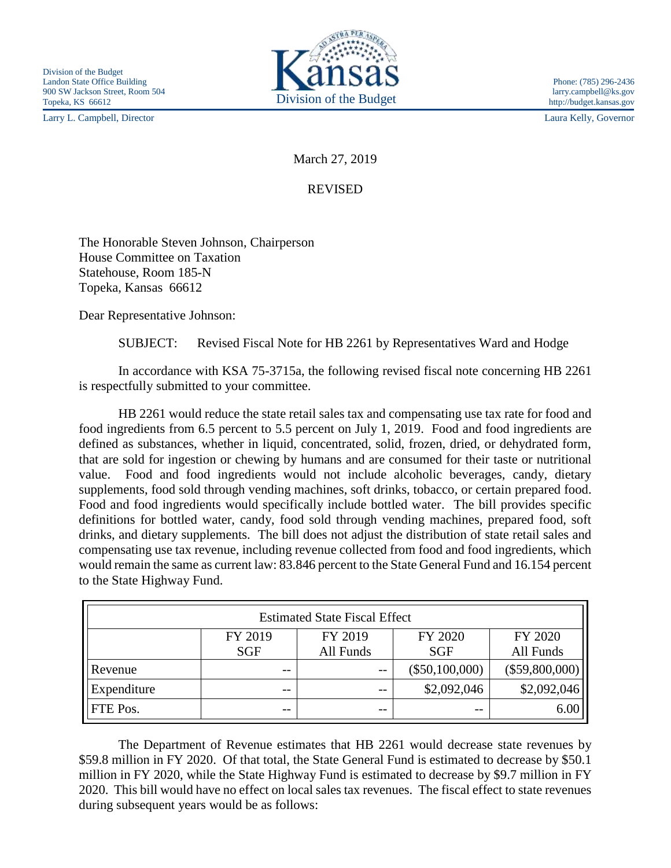Larry L. Campbell, Director Laura Kelly, Governor



March 27, 2019

## REVISED

The Honorable Steven Johnson, Chairperson House Committee on Taxation Statehouse, Room 185-N Topeka, Kansas 66612

Dear Representative Johnson:

SUBJECT: Revised Fiscal Note for HB 2261 by Representatives Ward and Hodge

In accordance with KSA 75-3715a, the following revised fiscal note concerning HB 2261 is respectfully submitted to your committee.

HB 2261 would reduce the state retail sales tax and compensating use tax rate for food and food ingredients from 6.5 percent to 5.5 percent on July 1, 2019. Food and food ingredients are defined as substances, whether in liquid, concentrated, solid, frozen, dried, or dehydrated form, that are sold for ingestion or chewing by humans and are consumed for their taste or nutritional value. Food and food ingredients would not include alcoholic beverages, candy, dietary supplements, food sold through vending machines, soft drinks, tobacco, or certain prepared food. Food and food ingredients would specifically include bottled water. The bill provides specific definitions for bottled water, candy, food sold through vending machines, prepared food, soft drinks, and dietary supplements. The bill does not adjust the distribution of state retail sales and compensating use tax revenue, including revenue collected from food and food ingredients, which would remain the same as current law: 83.846 percent to the State General Fund and 16.154 percent to the State Highway Fund.

| <b>Estimated State Fiscal Effect</b> |            |           |                  |                  |  |  |
|--------------------------------------|------------|-----------|------------------|------------------|--|--|
|                                      | FY 2019    | FY 2019   | FY 2020          | FY 2020          |  |  |
|                                      | <b>SGF</b> | All Funds | <b>SGF</b>       | All Funds        |  |  |
| Revenue                              | --         | $- -$     | $(\$50,100,000)$ | $(\$59,800,000)$ |  |  |
| Expenditure                          | $- -$      | $ -$      | \$2,092,046      | \$2,092,046      |  |  |
| FTE Pos.                             | --         | $ -$      | $- -$            | 6.00             |  |  |

The Department of Revenue estimates that HB 2261 would decrease state revenues by \$59.8 million in FY 2020. Of that total, the State General Fund is estimated to decrease by \$50.1 million in FY 2020, while the State Highway Fund is estimated to decrease by \$9.7 million in FY 2020. This bill would have no effect on local sales tax revenues. The fiscal effect to state revenues during subsequent years would be as follows: